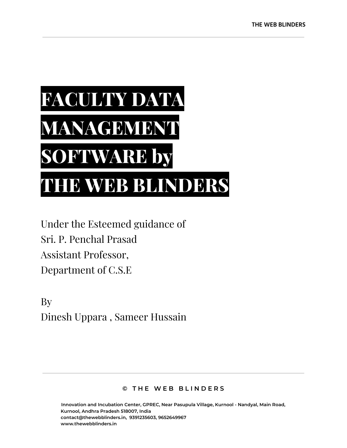

Under the Esteemed guidance of Sri. P. Penchal Prasad Assistant Professor, Department of C.S.E

By Dinesh Uppara , Sameer Hussain

#### **© T H E W E B B L I N D E R S**

**Innovation and Incubation Center, GPREC, Near Pasupula Village, Kurnool - Nandyal, Main Road, Kurnool, Andhra Pradesh 518007, India contact@thewebblinders.in, 9391235603, 9652649967 www.thewebblinders.in**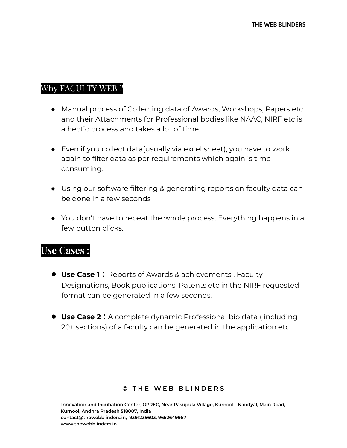### Why FACULTY WEB ?

- Manual process of Collecting data of Awards, Workshops, Papers etc and their Attachments for Professional bodies like NAAC, NIRF etc is a hectic process and takes a lot of time.
- Even if you collect data(usually via excel sheet), you have to work again to filter data as per requirements which again is time consuming.
- Using our software filtering & generating reports on faculty data can be done in a few seconds
- You don't have to repeat the whole process. Everything happens in a few button clicks.

## **Use Cases :**

- **Use Case 1 :** Reports of Awards & achievements , Faculty Designations, Book publications, Patents etc in the NIRF requested format can be generated in a few seconds.
- **Use Case 2 :** A complete dynamic Professional bio data ( including 20+ sections) of a faculty can be generated in the application etc

#### **© T H E W E B B L I N D E R S**

**Innovation and Incubation Center, GPREC, Near Pasupula Village, Kurnool - Nandyal, Main Road, Kurnool, Andhra Pradesh 518007, India contact@thewebblinders.in, 9391235603, 9652649967 www.thewebblinders.in**